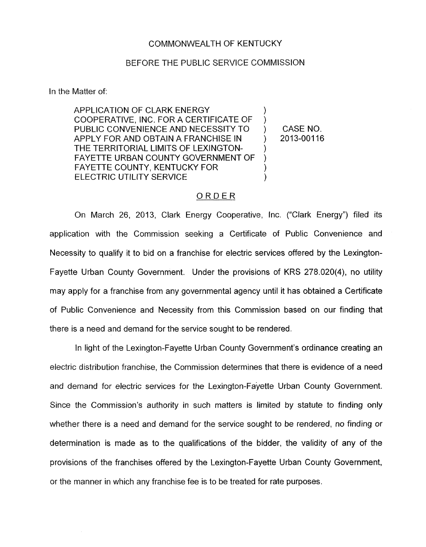## COMMONWEALTH OF KENTUCKY

## BEFORE THE PUBLIC SERVICE COMMISSION

In the Matter of:

APPLICATION OF CLARK ENERGY COOPERATIVE, INC. FOR A CERTIFICATE OF PUBLIC CONVENIENCE AND NECESSITY TO APPLY FOR AND OBTAIN A FRANCHISE IN FAYETTE URBAN COUNTY GOVERNMENT OF FAYETTE COUNTY, KENTUCKY FOR ELECTRIC UTILITY SERVICE THE TERRITORIAL LIMITS OF LEXINGTON- ) 1 ) ) 1 ) ) CASENO. ) 2013-00116

## ORDER

On March 26, 2013, Clark Energy Cooperative, Inc. ("Clark Energy") filed its application with the Commission seeking a Certificate of Public Convenience and Necessity to qualify it to bid on a franchise for electric services offered by the Lexington-Fayette Urban County Government. Under the provisions of KRS 278.020(4), no utility may apply for a franchise from any governmental agency until it has obtained a Certificate of Public Convenience and Necessity from this Commission based on our finding that there is a need and demand for the service sought to be rendered

In light of the Lexington-Fayette Urban County Government's ordinance creating an electric distribution franchise, the Commission determines that there is evidence of a need and demand for electric services for the Lexington-Fayette Urban County Government. Since the Commission's authority in such matters *is* limited by statute to finding only whether there is a need and demand for the service sought to be rendered, no finding or determination is made as to the qualifications of the bidder, the validity of any of the provisions of the franchises offered by the Lexington-Fayette Urban County Government, or the manner in which any franchise fee is to be treated for rate purposes.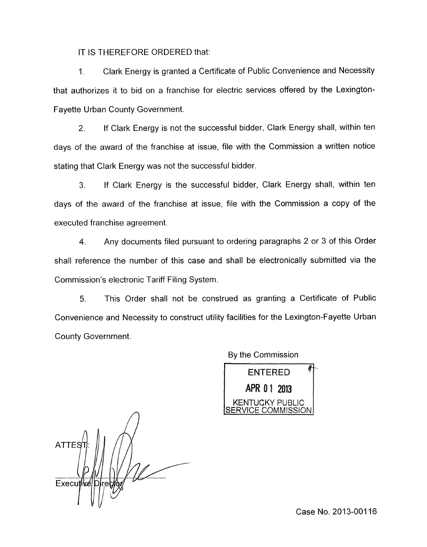IT IS THEREFORE ORDERED that:

1. Clark Energy is granted a Certificate of Public Convenience and Necessity that authorizes it to bid on a franchise for electric services offered by the Lexington-Fayette Urban County Government

2. If Clark Energy is not the successful bidder, Clark Energy shall, within ten days of the award of the franchise at issue, file with the Commission a written notice stating that Clark Energy was not the successful bidder.

3. If Clark Energy is the successful bidder, Clark Energy shall, within ten days of the award of the franchise at issue, file with the Commission a copy of the executed franchise agreement.

**4.** Any documents filed pursuant to ordering paragraphs 2 or 3 of this Order shall reference the number of this case and shall be electronically submitted via the Commission's electronic Tariff Filing System.

5. This Order shall not be construed as granting a Certificate of Public Convenience and Necessity to construct utility facilities for the Lexington-Fayette Urban County Government.

*n*  **ATTES** Executive

By the Commission

**ENTERED** APR 01 2013 KENTUCKY PUBLIC <u>SERVICE COMMISSION</u>

Case No. 2013-001 16